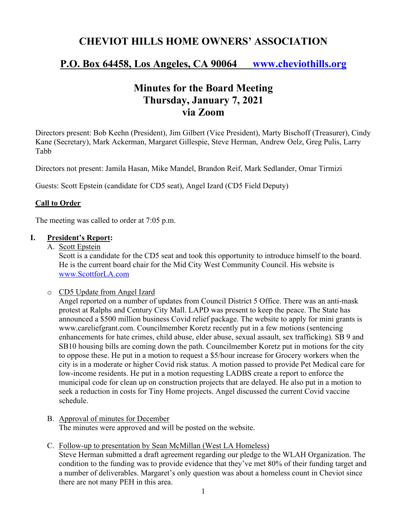# **CHEVIOT HILLS HOME OWNERS' ASSOCIATION**

# **P.O. Box 64458, Los Angeles, CA 90064 www.cheviothills.org**

# **Minutes for the Board Meeting Thursday, January 7, 2021 via Zoom**

Directors present: Bob Keehn (President), Jim Gilbert (Vice President), Marty Bischoff (Treasurer), Cindy Kane (Secretary), Mark Ackerman, Margaret Gillespie, Steve Herman, Andrew Oelz, Greg Pulis, Larry Tabb

Directors not present: Jamila Hasan, Mike Mandel, Brandon Reif, Mark Sedlander, Omar Tirmizi

Guests: Scott Epstein (candidate for CD5 seat), Angel Izard (CD5 Field Deputy)

### **Call to Order**

The meeting was called to order at 7:05 p.m.

### **I. President's Report:**

A. Scott Epstein

Scott is a candidate for the CD5 seat and took this opportunity to introduce himself to the board. He is the current board chair for the Mid City West Community Council. His website is www.ScottforLA.com

#### o CD5 Update from Angel Izard

Angel reported on a number of updates from Council District 5 Office. There was an anti-mask protest at Ralphs and Century City Mall. LAPD was present to keep the peace. The State has announced a \$500 million business Covid relief package. The website to apply for mini grants is www.careliefgrant.com. Councilmember Koretz recently put in a few motions (sentencing enhancements for hate crimes, child abuse, elder abuse, sexual assault, sex trafficking). SB 9 and SB10 housing bills are coming down the path. Councilmember Koretz put in motions for the city to oppose these. He put in a motion to request a \$5/hour increase for Grocery workers when the city is in a moderate or higher Covid risk status. A motion passed to provide Pet Medical care for low-income residents. He put in a motion requesting LADBS create a report to enforce the municipal code for clean up on construction projects that are delayed. He also put in a motion to seek a reduction in costs for Tiny Home projects. Angel discussed the current Covid vaccine schedule.

- B. Approval of minutes for December The minutes were approved and will be posted on the website.
- C. Follow-up to presentation by Sean McMillan (West LA Homeless)

Steve Herman submitted a draft agreement regarding our pledge to the WLAH Organization. The condition to the funding was to provide evidence that they've met 80% of their funding target and a number of deliverables. Margaret's only question was about a homeless count in Cheviot since there are not many PEH in this area.